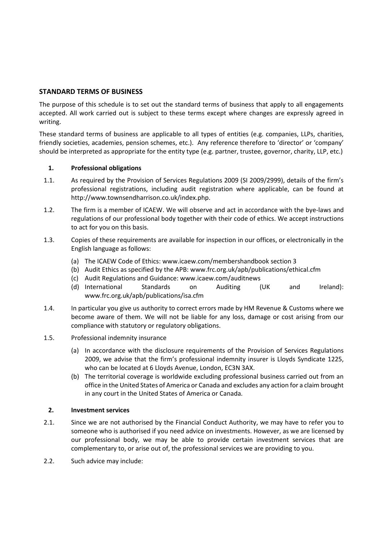# **STANDARD TERMS OF BUSINESS**

The purpose of this schedule is to set out the standard terms of business that apply to all engagements accepted. All work carried out is subject to these terms except where changes are expressly agreed in writing.

These standard terms of business are applicable to all types of entities (e.g. companies, LLPs, charities, friendly societies, academies, pension schemes, etc.). Any reference therefore to 'director' or 'company' should be interpreted as appropriate for the entity type (e.g. partner, trustee, governor, charity, LLP, etc.)

## **1. Professional obligations**

- 1.1. As required by the Provision of Services Regulations 2009 (SI 2009/2999), details of the firm's professional registrations, including audit registration where applicable, can be found at http://www.townsendharrison.co.uk/index.php.
- 1.2. The firm is a member of ICAEW. We will observe and act in accordance with the bye-laws and regulations of our professional body together with their code of ethics. We accept instructions to act for you on this basis.
- 1.3. Copies of these requirements are available for inspection in our offices, or electronically in the English language as follows:
	- (a) The ICAEW Code of Ethics: [www.icaew.com/membershandbook section 3](http://www.icaew.com/membershandbook%20section%203)
	- (b) Audit Ethics as specified by the APB: [www.frc.org.uk/apb/publications/ethical.cfm](http://www.frc.org.uk/apb/publications/ethical.cfm)
	- (c) Audit Regulations and Guidance: [www.icaew.com/auditnews](http://www.icaew.com/auditnews)
	- (d) International Standards on Auditing (UK and Ireland): [www.frc.org.uk/apb/publications/isa.cfm](http://www.frc.org.uk/apb/publications/isa.cfm)
- 1.4. In particular you give us authority to correct errors made by HM Revenue & Customs where we become aware of them. We will not be liable for any loss, damage or cost arising from our compliance with statutory or regulatory obligations.
- 1.5. Professional indemnity insurance
	- (a) In accordance with the disclosure requirements of the Provision of Services Regulations 2009, we advise that the firm's professional indemnity insurer is Lloyds Syndicate 1225, who can be located at 6 Lloyds Avenue, London, EC3N 3AX.
	- (b) The territorial coverage is worldwide excluding professional business carried out from an office in the United States of America or Canada and excludes any action for a claim brought in any court in the United States of America or Canada.

#### **2. Investment services**

- 2.1. Since we are not authorised by the Financial Conduct Authority, we may have to refer you to someone who is authorised if you need advice on investments. However, as we are licensed by our professional body, we may be able to provide certain investment services that are complementary to, or arise out of, the professional services we are providing to you.
- 2.2. Such advice may include: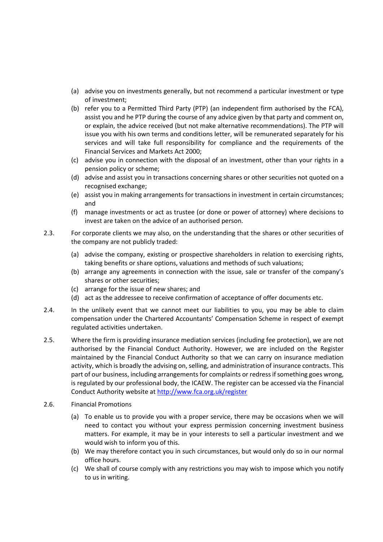- (a) advise you on investments generally, but not recommend a particular investment or type of investment;
- (b) refer you to a Permitted Third Party (PTP) (an independent firm authorised by the FCA), assist you and he PTP during the course of any advice given by that party and comment on, or explain, the advice received (but not make alternative recommendations). The PTP will issue you with his own terms and conditions letter, will be remunerated separately for his services and will take full responsibility for compliance and the requirements of the Financial Services and Markets Act 2000;
- (c) advise you in connection with the disposal of an investment, other than your rights in a pension policy or scheme;
- (d) advise and assist you in transactions concerning shares or other securities not quoted on a recognised exchange;
- (e) assist you in making arrangements for transactions in investment in certain circumstances; and
- (f) manage investments or act as trustee (or done or power of attorney) where decisions to invest are taken on the advice of an authorised person.
- 2.3. For corporate clients we may also, on the understanding that the shares or other securities of the company are not publicly traded:
	- (a) advise the company, existing or prospective shareholders in relation to exercising rights, taking benefits or share options, valuations and methods of such valuations;
	- (b) arrange any agreements in connection with the issue, sale or transfer of the company's shares or other securities;
	- (c) arrange for the issue of new shares; and
	- (d) act as the addressee to receive confirmation of acceptance of offer documents etc.
- 2.4. In the unlikely event that we cannot meet our liabilities to you, you may be able to claim compensation under the Chartered Accountants' Compensation Scheme in respect of exempt regulated activities undertaken.
- 2.5. Where the firm is providing insurance mediation services (including fee protection), we are not authorised by the Financial Conduct Authority. However, we are included on the Register maintained by the Financial Conduct Authority so that we can carry on insurance mediation activity, which is broadly the advising on, selling, and administration of insurance contracts. This part of our business, including arrangements for complaints or redress if something goes wrong, is regulated by our professional body, the ICAEW. The register can be accessed via the Financial Conduct Authority website a[t http://www.fca.org.uk/register](http://www.fca.org.uk/register)
- 2.6. Financial Promotions
	- (a) To enable us to provide you with a proper service, there may be occasions when we will need to contact you without your express permission concerning investment business matters. For example, it may be in your interests to sell a particular investment and we would wish to inform you of this.
	- (b) We may therefore contact you in such circumstances, but would only do so in our normal office hours.
	- (c) We shall of course comply with any restrictions you may wish to impose which you notify to us in writing.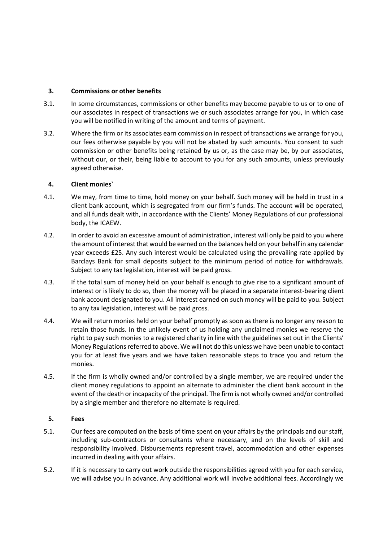### **3. Commissions or other benefits**

- 3.1. In some circumstances, commissions or other benefits may become payable to us or to one of our associates in respect of transactions we or such associates arrange for you, in which case you will be notified in writing of the amount and terms of payment.
- 3.2. Where the firm or its associates earn commission in respect of transactions we arrange for you, our fees otherwise payable by you will not be abated by such amounts. You consent to such commission or other benefits being retained by us or, as the case may be, by our associates, without our, or their, being liable to account to you for any such amounts, unless previously agreed otherwise.

## **4. Client monies`**

- 4.1. We may, from time to time, hold money on your behalf. Such money will be held in trust in a client bank account, which is segregated from our firm's funds. The account will be operated, and all funds dealt with, in accordance with the Clients' Money Regulations of our professional body, the ICAEW.
- 4.2. In order to avoid an excessive amount of administration, interest will only be paid to you where the amount of interest that would be earned on the balances held on your behalf in any calendar year exceeds £25. Any such interest would be calculated using the prevailing rate applied by Barclays Bank for small deposits subject to the minimum period of notice for withdrawals. Subject to any tax legislation, interest will be paid gross.
- 4.3. If the total sum of money held on your behalf is enough to give rise to a significant amount of interest or is likely to do so, then the money will be placed in a separate interest-bearing client bank account designated to you. All interest earned on such money will be paid to you. Subject to any tax legislation, interest will be paid gross.
- 4.4. We will return monies held on your behalf promptly as soon as there is no longer any reason to retain those funds. In the unlikely event of us holding any unclaimed monies we reserve the right to pay such monies to a registered charity in line with the guidelines set out in the Clients' Money Regulations referred to above. We will not do this unless we have been unable to contact you for at least five years and we have taken reasonable steps to trace you and return the monies.
- 4.5. If the firm is wholly owned and/or controlled by a single member, we are required under the client money regulations to appoint an alternate to administer the client bank account in the event of the death or incapacity of the principal. The firm is not wholly owned and/or controlled by a single member and therefore no alternate is required.

#### **5. Fees**

- 5.1. Our fees are computed on the basis of time spent on your affairs by the principals and our staff, including sub-contractors or consultants where necessary, and on the levels of skill and responsibility involved. Disbursements represent travel, accommodation and other expenses incurred in dealing with your affairs.
- 5.2. If it is necessary to carry out work outside the responsibilities agreed with you for each service, we will advise you in advance. Any additional work will involve additional fees. Accordingly we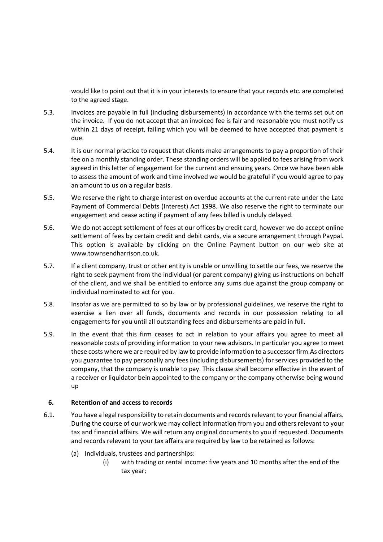would like to point out that it is in your interests to ensure that your records etc. are completed to the agreed stage.

- 5.3. Invoices are payable in full (including disbursements) in accordance with the terms set out on the invoice. If you do not accept that an invoiced fee is fair and reasonable you must notify us within 21 days of receipt, failing which you will be deemed to have accepted that payment is due.
- 5.4. It is our normal practice to request that clients make arrangements to pay a proportion of their fee on a monthly standing order. These standing orders will be applied to fees arising from work agreed in this letter of engagement for the current and ensuing years. Once we have been able to assess the amount of work and time involved we would be grateful if you would agree to pay an amount to us on a regular basis.
- 5.5. We reserve the right to charge interest on overdue accounts at the current rate under the Late Payment of Commercial Debts (Interest) Act 1998. We also reserve the right to terminate our engagement and cease acting if payment of any fees billed is unduly delayed.
- 5.6. We do not accept settlement of fees at our offices by credit card, however we do accept online settlement of fees by certain credit and debit cards, via a secure arrangement through Paypal. This option is available by clicking on the Online Payment button on our web site at www.townsendharrison.co.uk.
- 5.7. If a client company, trust or other entity is unable or unwilling to settle our fees, we reserve the right to seek payment from the individual (or parent company) giving us instructions on behalf of the client, and we shall be entitled to enforce any sums due against the group company or individual nominated to act for you.
- 5.8. Insofar as we are permitted to so by law or by professional guidelines, we reserve the right to exercise a lien over all funds, documents and records in our possession relating to all engagements for you until all outstanding fees and disbursements are paid in full.
- 5.9. In the event that this firm ceases to act in relation to your affairs you agree to meet all reasonable costs of providing information to your new advisors. In particular you agree to meet these costs where we are required by law to provide information to a successor firm.As directors you guarantee to pay personally any fees (including disbursements) for services provided to the company, that the company is unable to pay. This clause shall become effective in the event of a receiver or liquidator bein appointed to the company or the company otherwise being wound up

#### **6. Retention of and access to records**

- 6.1. You have a legal responsibility to retain documents and records relevant to your financial affairs. During the course of our work we may collect information from you and others relevant to your tax and financial affairs. We will return any original documents to you if requested. Documents and records relevant to your tax affairs are required by law to be retained as follows:
	- (a) Individuals, trustees and partnerships:
		- (i) with trading or rental income: five years and 10 months after the end of the tax year;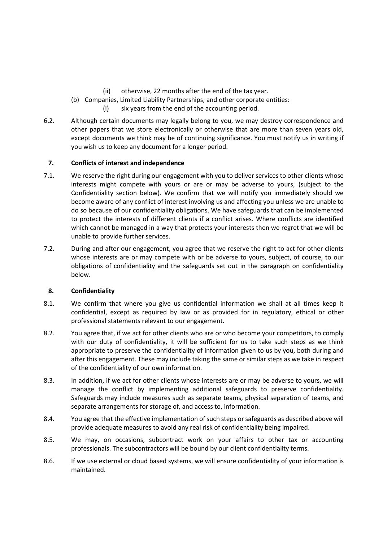(ii) otherwise, 22 months after the end of the tax year.

- (b) Companies, Limited Liability Partnerships, and other corporate entities:
	- (i) six years from the end of the accounting period.
- 6.2. Although certain documents may legally belong to you, we may destroy correspondence and other papers that we store electronically or otherwise that are more than seven years old, except documents we think may be of continuing significance. You must notify us in writing if you wish us to keep any document for a longer period.

# **7. Conflicts of interest and independence**

- 7.1. We reserve the right during our engagement with you to deliver services to other clients whose interests might compete with yours or are or may be adverse to yours, (subject to the Confidentiality section below). We confirm that we will notify you immediately should we become aware of any conflict of interest involving us and affecting you unless we are unable to do so because of our confidentiality obligations. We have safeguards that can be implemented to protect the interests of different clients if a conflict arises. Where conflicts are identified which cannot be managed in a way that protects your interests then we regret that we will be unable to provide further services.
- 7.2. During and after our engagement, you agree that we reserve the right to act for other clients whose interests are or may compete with or be adverse to yours, subject, of course, to our obligations of confidentiality and the safeguards set out in the paragraph on confidentiality below.

# **8. Confidentiality**

- 8.1. We confirm that where you give us confidential information we shall at all times keep it confidential, except as required by law or as provided for in regulatory, ethical or other professional statements relevant to our engagement.
- 8.2. You agree that, if we act for other clients who are or who become your competitors, to comply with our duty of confidentiality, it will be sufficient for us to take such steps as we think appropriate to preserve the confidentiality of information given to us by you, both during and after this engagement. These may include taking the same or similar steps as we take in respect of the confidentiality of our own information.
- 8.3. In addition, if we act for other clients whose interests are or may be adverse to yours, we will manage the conflict by implementing additional safeguards to preserve confidentiality. Safeguards may include measures such as separate teams, physical separation of teams, and separate arrangements for storage of, and access to, information.
- 8.4. You agree that the effective implementation of such steps or safeguards as described above will provide adequate measures to avoid any real risk of confidentiality being impaired.
- 8.5. We may, on occasions, subcontract work on your affairs to other tax or accounting professionals. The subcontractors will be bound by our client confidentiality terms.
- 8.6. If we use external or cloud based systems, we will ensure confidentiality of your information is maintained.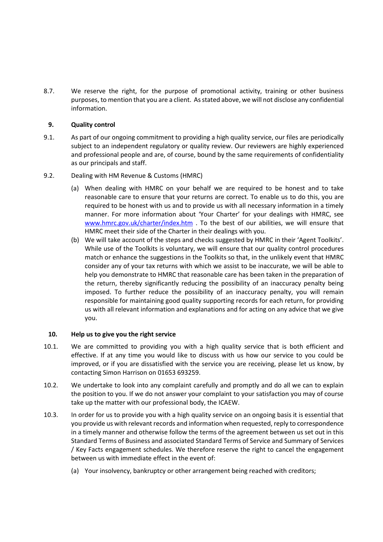8.7. We reserve the right, for the purpose of promotional activity, training or other business purposes, to mention that you are a client. As stated above, we will not disclose any confidential information.

### **9. Quality control**

- 9.1. As part of our ongoing commitment to providing a high quality service, our files are periodically subject to an independent regulatory or quality review. Our reviewers are highly experienced and professional people and are, of course, bound by the same requirements of confidentiality as our principals and staff.
- 9.2. Dealing with HM Revenue & Customs (HMRC)
	- (a) When dealing with HMRC on your behalf we are required to be honest and to take reasonable care to ensure that your returns are correct. To enable us to do this, you are required to be honest with us and to provide us with all necessary information in a timely manner. For more information about 'Your Charter' for your dealings with HMRC, see [www.hmrc.gov.uk/charter/index.htm](http://www.hmrc.gov.uk/charter/index.htm) . To the best of our abilities, we will ensure that HMRC meet their side of the Charter in their dealings with you.
	- (b) We will take account of the steps and checks suggested by HMRC in their 'Agent Toolkits'. While use of the Toolkits is voluntary, we will ensure that our quality control procedures match or enhance the suggestions in the Toolkits so that, in the unlikely event that HMRC consider any of your tax returns with which we assist to be inaccurate, we will be able to help you demonstrate to HMRC that reasonable care has been taken in the preparation of the return, thereby significantly reducing the possibility of an inaccuracy penalty being imposed. To further reduce the possibility of an inaccuracy penalty, you will remain responsible for maintaining good quality supporting records for each return, for providing us with all relevant information and explanations and for acting on any advice that we give you.

#### **10. Help us to give you the right service**

- 10.1. We are committed to providing you with a high quality service that is both efficient and effective. If at any time you would like to discuss with us how our service to you could be improved, or if you are dissatisfied with the service you are receiving, please let us know, by contacting Simon Harrison on 01653 693259.
- 10.2. We undertake to look into any complaint carefully and promptly and do all we can to explain the position to you. If we do not answer your complaint to your satisfaction you may of course take up the matter with our professional body, the ICAEW.
- 10.3. In order for us to provide you with a high quality service on an ongoing basis it is essential that you provide us with relevant records and information when requested, reply to correspondence in a timely manner and otherwise follow the terms of the agreement between us set out in this Standard Terms of Business and associated Standard Terms of Service and Summary of Services / Key Facts engagement schedules. We therefore reserve the right to cancel the engagement between us with immediate effect in the event of:
	- (a) Your insolvency, bankruptcy or other arrangement being reached with creditors;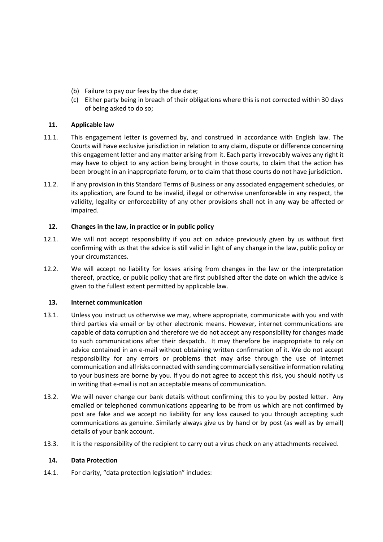- (b) Failure to pay our fees by the due date;
- (c) Either party being in breach of their obligations where this is not corrected within 30 days of being asked to do so;

## **11. Applicable law**

- 11.1. This engagement letter is governed by, and construed in accordance with English law. The Courts will have exclusive jurisdiction in relation to any claim, dispute or difference concerning this engagement letter and any matter arising from it. Each party irrevocably waives any right it may have to object to any action being brought in those courts, to claim that the action has been brought in an inappropriate forum, or to claim that those courts do not have jurisdiction.
- 11.2. If any provision in this Standard Terms of Business or any associated engagement schedules, or its application, are found to be invalid, illegal or otherwise unenforceable in any respect, the validity, legality or enforceability of any other provisions shall not in any way be affected or impaired.

#### **12. Changes in the law, in practice or in public policy**

- 12.1. We will not accept responsibility if you act on advice previously given by us without first confirming with us that the advice is still valid in light of any change in the law, public policy or your circumstances.
- 12.2. We will accept no liability for losses arising from changes in the law or the interpretation thereof, practice, or public policy that are first published after the date on which the advice is given to the fullest extent permitted by applicable law.

#### **13. Internet communication**

- 13.1. Unless you instruct us otherwise we may, where appropriate, communicate with you and with third parties via email or by other electronic means. However, internet communications are capable of data corruption and therefore we do not accept any responsibility for changes made to such communications after their despatch. It may therefore be inappropriate to rely on advice contained in an e-mail without obtaining written confirmation of it. We do not accept responsibility for any errors or problems that may arise through the use of internet communication and all risks connected with sending commercially sensitive information relating to your business are borne by you. If you do not agree to accept this risk, you should notify us in writing that e-mail is not an acceptable means of communication.
- 13.2. We will never change our bank details without confirming this to you by posted letter. Any emailed or telephoned communications appearing to be from us which are not confirmed by post are fake and we accept no liability for any loss caused to you through accepting such communications as genuine. Similarly always give us by hand or by post (as well as by email) details of your bank account.
- 13.3. It is the responsibility of the recipient to carry out a virus check on any attachments received.

#### **14. Data Protection**

14.1. For clarity, "data protection legislation" includes: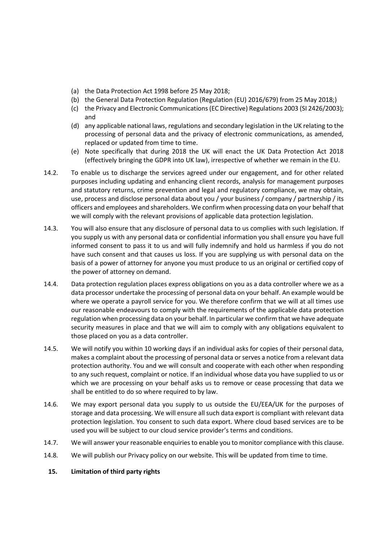- (a) the Data Protection Act 1998 before 25 May 2018;
- (b) the General Data Protection Regulation (Regulation (EU) 2016/679) from 25 May 2018;)
- (c) the Privacy and Electronic Communications (EC Directive) Regulations 2003 (SI 2426/2003); and
- (d) any applicable national laws, regulations and secondary legislation in the UK relating to the processing of personal data and the privacy of electronic communications, as amended, replaced or updated from time to time.
- (e) Note specifically that during 2018 the UK will enact the UK Data Protection Act 2018 (effectively bringing the GDPR into UK law), irrespective of whether we remain in the EU.
- 14.2. To enable us to discharge the services agreed under our engagement, and for other related purposes including updating and enhancing client records, analysis for management purposes and statutory returns, crime prevention and legal and regulatory compliance, we may obtain, use, process and disclose personal data about you / your business / company / partnership / its officers and employees and shareholders. We confirm when processing data on your behalf that we will comply with the relevant provisions of applicable data protection legislation.
- 14.3. You will also ensure that any disclosure of personal data to us complies with such legislation. If you supply us with any personal data or confidential information you shall ensure you have full informed consent to pass it to us and will fully indemnify and hold us harmless if you do not have such consent and that causes us loss. If you are supplying us with personal data on the basis of a power of attorney for anyone you must produce to us an original or certified copy of the power of attorney on demand.
- 14.4. Data protection regulation places express obligations on you as a data controller where we as a data processor undertake the processing of personal data on your behalf. An example would be where we operate a payroll service for you. We therefore confirm that we will at all times use our reasonable endeavours to comply with the requirements of the applicable data protection regulation when processing data on your behalf. In particular we confirm that we have adequate security measures in place and that we will aim to comply with any obligations equivalent to those placed on you as a data controller.
- 14.5. We will notify you within 10 working days if an individual asks for copies of their personal data, makes a complaint about the processing of personal data or serves a notice from a relevant data protection authority. You and we will consult and cooperate with each other when responding to any such request, complaint or notice. If an individual whose data you have supplied to us or which we are processing on your behalf asks us to remove or cease processing that data we shall be entitled to do so where required to by law.
- 14.6. We may export personal data you supply to us outside the EU/EEA/UK for the purposes of storage and data processing. We will ensure all such data export is compliant with relevant data protection legislation. You consent to such data export. Where cloud based services are to be used you will be subject to our cloud service provider's terms and conditions.
- 14.7. We will answer your reasonable enquiries to enable you to monitor compliance with this clause.
- 14.8. We will publish our Privacy policy on our website. This will be updated from time to time.
- **15. Limitation of third party rights**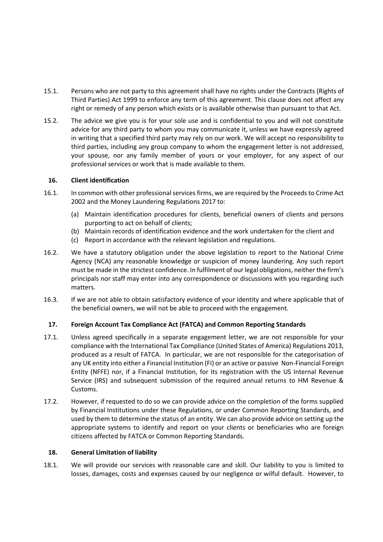- 15.1. Persons who are not party to this agreement shall have no rights under the Contracts (Rights of Third Parties) Act 1999 to enforce any term of this agreement. This clause does not affect any right or remedy of any person which exists or is available otherwise than pursuant to that Act.
- 15.2. The advice we give you is for your sole use and is confidential to you and will not constitute advice for any third party to whom you may communicate it, unless we have expressly agreed in writing that a specified third party may rely on our work. We will accept no responsibility to third parties, including any group company to whom the engagement letter is not addressed, your spouse, nor any family member of yours or your employer, for any aspect of our professional services or work that is made available to them.

## **16. Client identification**

- 16.1. In common with other professional services firms, we are required by the Proceeds to Crime Act 2002 and the Money Laundering Regulations 2017 to:
	- (a) Maintain identification procedures for clients, beneficial owners of clients and persons purporting to act on behalf of clients;
	- (b) Maintain records of identification evidence and the work undertaken for the client and
	- (c) Report in accordance with the relevant legislation and regulations.
- 16.2. We have a statutory obligation under the above legislation to report to the National Crime Agency (NCA) any reasonable knowledge or suspicion of money laundering. Any such report must be made in the strictest confidence. In fulfilment of our legal obligations, neither the firm's principals nor staff may enter into any correspondence or discussions with you regarding such matters.
- 16.3. If we are not able to obtain satisfactory evidence of your identity and where applicable that of the beneficial owners, we will not be able to proceed with the engagement.

#### **17. Foreign Account Tax Compliance Act (FATCA) and Common Reporting Standards**

- 17.1. Unless agreed specifically in a separate engagement letter, we are not responsible for your compliance with the International Tax Compliance (United States of America) Regulations 2013, produced as a result of FATCA. In particular, we are not responsible for the categorisation of any UK entity into either a Financial Institution (FI) or an active or passive Non-Financial Foreign Entity (NFFE) nor, if a Financial Institution, for its registration with the US Internal Revenue Service (IRS) and subsequent submission of the required annual returns to HM Revenue & Customs.
- 17.2. However, if requested to do so we can provide advice on the completion of the forms supplied by Financial Institutions under these Regulations, or under Common Reporting Standards, and used by them to determine the status of an entity. We can also provide advice on setting up the appropriate systems to identify and report on your clients or beneficiaries who are foreign citizens affected by FATCA or Common Reporting Standards.

#### **18. General Limitation of liability**

18.1. We will provide our services with reasonable care and skill. Our liability to you is limited to losses, damages, costs and expenses caused by our negligence or wilful default. However, to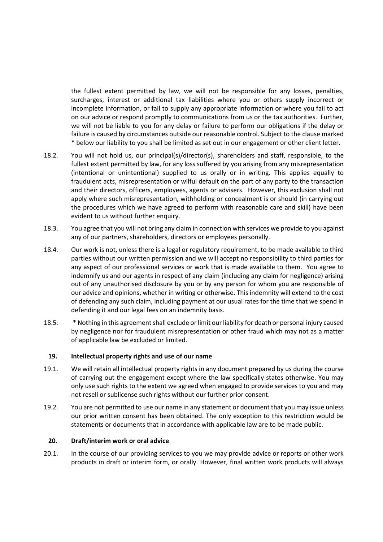the fullest extent permitted by law, we will not be responsible for any losses, penalties, surcharges, interest or additional tax liabilities where you or others supply incorrect or incomplete information, or fail to supply any appropriate information or where you fail to act on our advice or respond promptly to communications from us or the tax authorities. Further, we will not be liable to you for any delay or failure to perform our obligations if the delay or failure is caused by circumstances outside our reasonable control. Subject to the clause marked \* below our liability to you shall be limited as set out in our engagement or other client letter.

- 18.2. You will not hold us, our principal(s)/director(s), shareholders and staff, responsible, to the fullest extent permitted by law, for any loss suffered by you arising from any misrepresentation (intentional or unintentional) supplied to us orally or in writing. This applies equally to fraudulent acts, misrepresentation or wilful default on the part of any party to the transaction and their directors, officers, employees, agents or advisers. However, this exclusion shall not apply where such misrepresentation, withholding or concealment is or should (in carrying out the procedures which we have agreed to perform with reasonable care and skill) have been evident to us without further enquiry.
- 18.3. You agree that you will not bring any claim in connection with services we provide to you against any of our partners, shareholders, directors or employees personally.
- 18.4. Our work is not, unless there is a legal or regulatory requirement, to be made available to third parties without our written permission and we will accept no responsibility to third parties for any aspect of our professional services or work that is made available to them. You agree to indemnify us and our agents in respect of any claim (including any claim for negligence) arising out of any unauthorised disclosure by you or by any person for whom you are responsible of our advice and opinions, whether in writing or otherwise. This indemnity will extend to the cost of defending any such claim, including payment at our usual rates for the time that we spend in defending it and our legal fees on an indemnity basis.
- 18.5. \* Nothing in this agreement shall exclude or limit our liability for death or personal injury caused by negligence nor for fraudulent misrepresentation or other fraud which may not as a matter of applicable law be excluded or limited.

#### **19. Intellectual property rights and use of our name**

- 19.1. We will retain all intellectual property rights in any document prepared by us during the course of carrying out the engagement except where the law specifically states otherwise. You may only use such rights to the extent we agreed when engaged to provide services to you and may not resell or sublicense such rights without our further prior consent.
- 19.2. You are not permitted to use our name in any statement or document that you may issue unless our prior written consent has been obtained. The only exception to this restriction would be statements or documents that in accordance with applicable law are to be made public.

#### **20. Draft/interim work or oral advice**

20.1. In the course of our providing services to you we may provide advice or reports or other work products in draft or interim form, or orally. However, final written work products will always